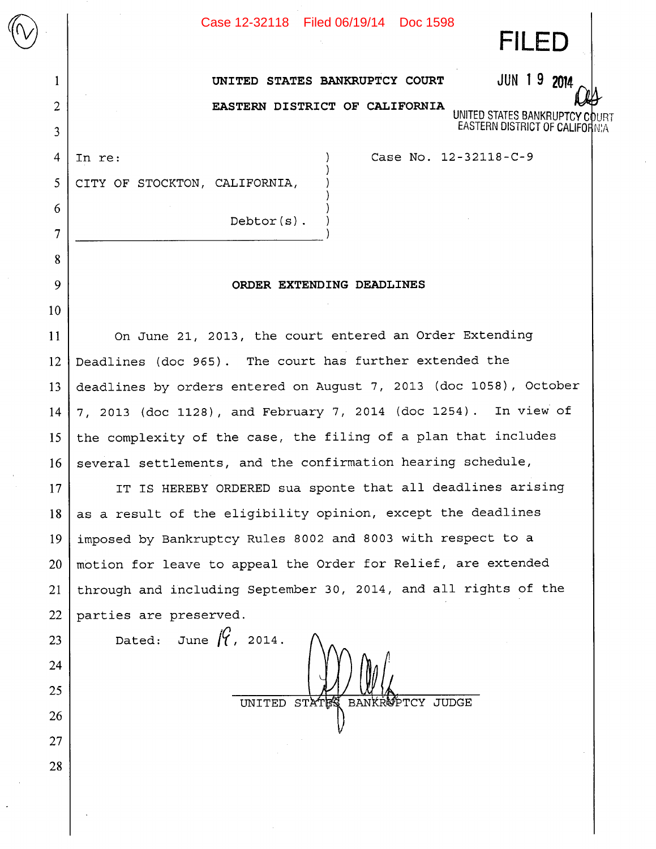| Case 12-32118 | Filed 06/19/14 | Doc 1598 |
|---------------|----------------|----------|
|---------------|----------------|----------|

**FILED** 

UNITED STATES BANKRUPTCY **EASTERN DISTRICT OF CALIFOR** 

UNITED STATES BANKRUPTCY COURT JUN 19 2014

**&~ EASTERN DISTRICT OF CALIFORNIA** 

4

 $\bigotimes$   $\bigotimes$ 

1

2

3

5

6

7

8

9

10

23

24

25

26

27

28

In re: Case No. 12-32118-C-9

CITY OF STOCKTON, CALIFORNIA,

Debtor(s)

## **ORDER EXTENDING DEADLINES**

On June 21, 2013, the court entered an Order Extending Deadlines (doc 965). The court has further extended the deadlines by orders entered on August 7, 2013 (doc 1058), October 7, 2013 (doc 1128) **,** and February 7, 2014 (doc 1254) . In view of the complexity of the case, the filing of a plan that includes several settlements, and the confirmation hearing schedule, 11 12 13 14 15 16

IT IS HEREBY ORDERED sua sponte that all deadlines arising as a result of the eligibility opinion, except the deadlines imposed by Bankruptcy Rules 8002 and 8003 with respect to a motion for leave to appeal the Order for Relief, are extended through and including September 30, 2014, and all rights of the parties are preserved. 17 18 19 20 21 22

Dated: June  $\int_{\gamma}$ , 2014. UNITED STATES BANKROPTCY JUDGE